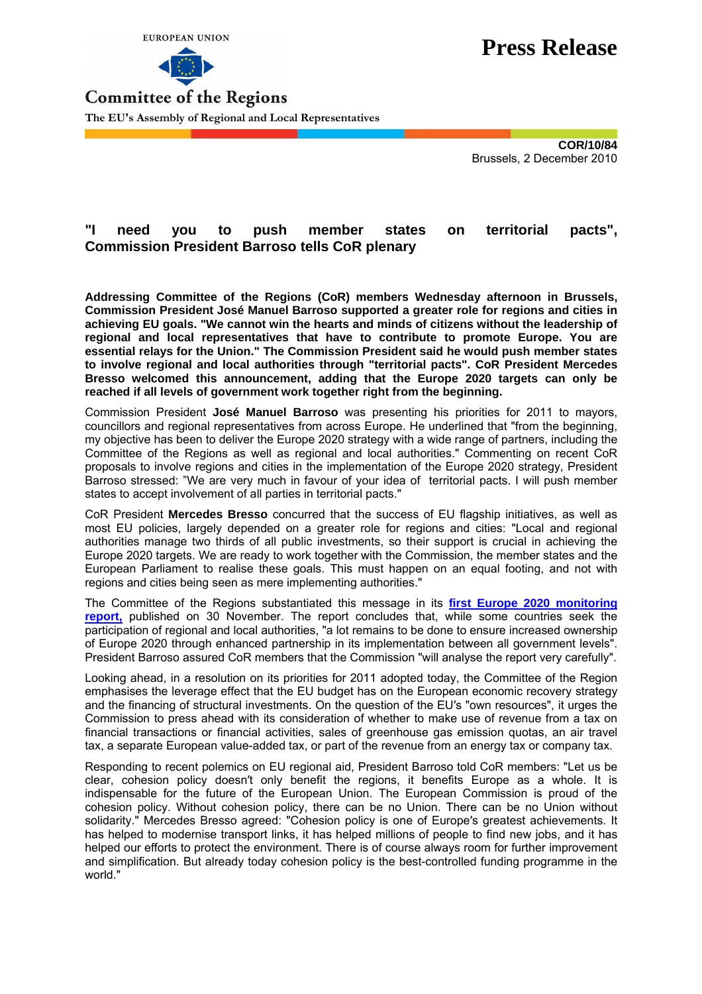



## **Press Release**

**Committee of the Regions The EU's Assembly of Regional and Local Representatives**

> **COR/10/84**  Brussels, 2 December 2010

## **"I need you to push member states on territorial pacts", Commission President Barroso tells CoR plenary**

**Addressing Committee of the Regions (CoR) members Wednesday afternoon in Brussels, Commission President José Manuel Barroso supported a greater role for regions and cities in achieving EU goals. "We cannot win the hearts and minds of citizens without the leadership of regional and local representatives that have to contribute to promote Europe. You are essential relays for the Union." The Commission President said he would push member states to involve regional and local authorities through "territorial pacts". CoR President Mercedes Bresso welcomed this announcement, adding that the Europe 2020 targets can only be reached if all levels of government work together right from the beginning.** 

Commission President **José Manuel Barroso** was presenting his priorities for 2011 to mayors, councillors and regional representatives from across Europe. He underlined that "from the beginning, my objective has been to deliver the Europe 2020 strategy with a wide range of partners, including the Committee of the Regions as well as regional and local authorities." Commenting on recent CoR proposals to involve regions and cities in the implementation of the Europe 2020 strategy, President Barroso stressed: "We are very much in favour of your idea of territorial pacts. I will push member states to accept involvement of all parties in territorial pacts."

CoR President **Mercedes Bresso** concurred that the success of EU flagship initiatives, as well as most EU policies, largely depended on a greater role for regions and cities: "Local and regional authorities manage two thirds of all public investments, so their support is crucial in achieving the Europe 2020 targets. We are ready to work together with the Commission, the member states and the European Parliament to realise these goals. This must happen on an equal footing, and not with regions and cities being seen as mere implementing authorities."

The Committee of the Regions substantiated this message in its **[first Europe 2020 monitoring](http://www.toad.cor.europa.eu/ViewDoc.aspx?doc=cdr%5cbureau%5c2010%5cnovembre%5cEN%5cR_CDR322-2010_PT5b_NB_EN.doc&docid=2736295)  [report,](http://www.toad.cor.europa.eu/ViewDoc.aspx?doc=cdr%5cbureau%5c2010%5cnovembre%5cEN%5cR_CDR322-2010_PT5b_NB_EN.doc&docid=2736295)** published on 30 November. The report concludes that, while some countries seek the participation of regional and local authorities, "a lot remains to be done to ensure increased ownership of Europe 2020 through enhanced partnership in its implementation between all government levels". President Barroso assured CoR members that the Commission "will analyse the report very carefully".

Looking ahead, in a resolution on its priorities for 2011 adopted today, the Committee of the Region emphasises the leverage effect that the EU budget has on the European economic recovery strategy and the financing of structural investments. On the question of the EU′s "own resources", it urges the Commission to press ahead with its consideration of whether to make use of revenue from a tax on financial transactions or financial activities, sales of greenhouse gas emission quotas, an air travel tax, a separate European value-added tax, or part of the revenue from an energy tax or company tax.

Responding to recent polemics on EU regional aid, President Barroso told CoR members: "Let us be clear, cohesion policy doesn′t only benefit the regions, it benefits Europe as a whole. It is indispensable for the future of the European Union. The European Commission is proud of the cohesion policy. Without cohesion policy, there can be no Union. There can be no Union without solidarity." Mercedes Bresso agreed: "Cohesion policy is one of Europe′s greatest achievements. It has helped to modernise transport links, it has helped millions of people to find new jobs, and it has helped our efforts to protect the environment. There is of course always room for further improvement and simplification. But already today cohesion policy is the best-controlled funding programme in the world."